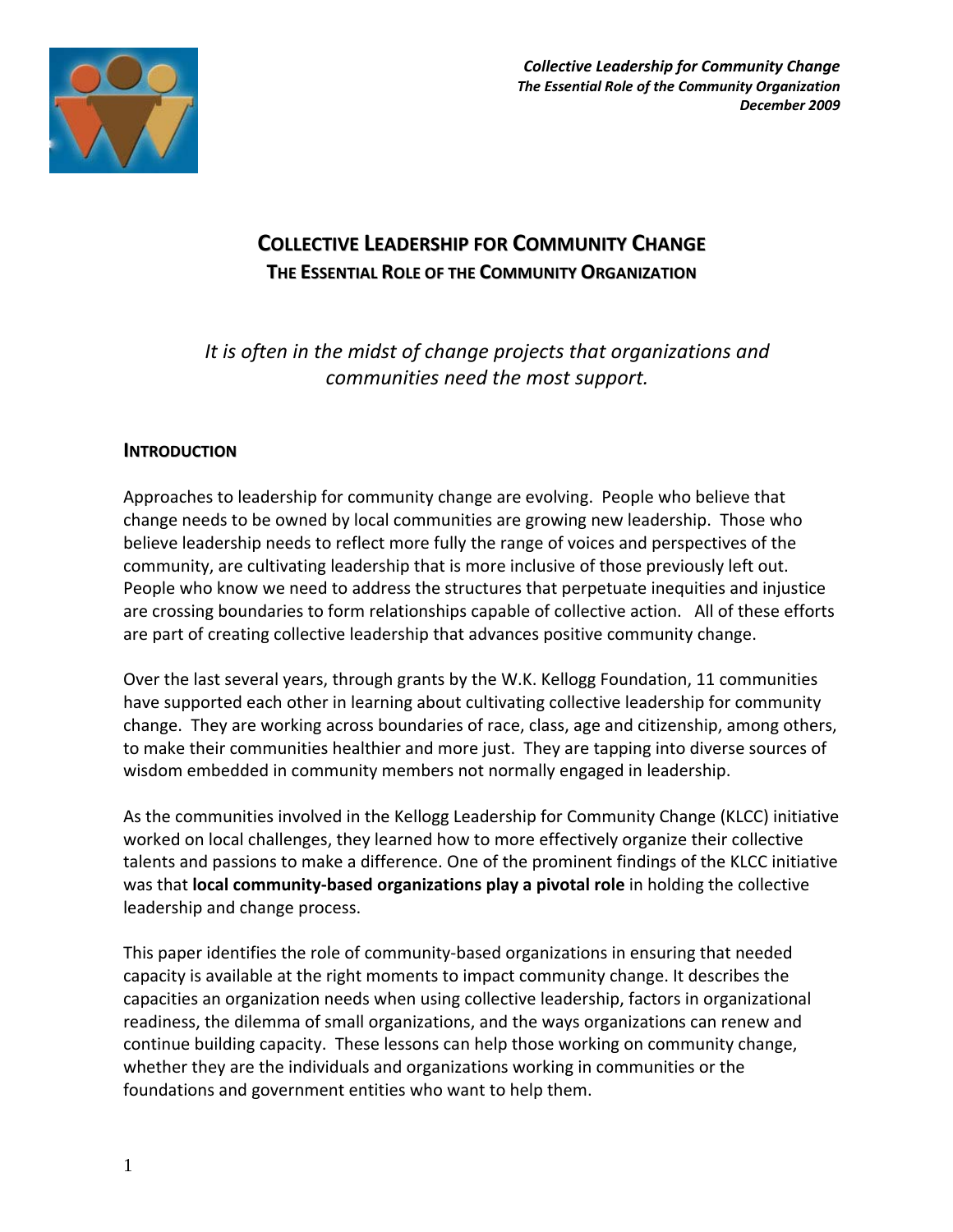

*Collective Leadership for Community Change The Essential Role of the Community Organization December 2009* 

# **COLLECTIVE LEADERSHIP FOR COMMUNITY CHANGE THE ESSENTIAL ROLE OF THE COMMUNITY ORGANIZATION**

*It is often in the midst of change projects that organizations and communities need the most support.* 

## **INTRODUCTION**

Approaches to leadership for community change are evolving. People who believe that change needs to be owned by local communities are growing new leadership. Those who believe leadership needs to reflect more fully the range of voices and perspectives of the community, are cultivating leadership that is more inclusive of those previously left out. People who know we need to address the structures that perpetuate inequities and injustice are crossing boundaries to form relationships capable of collective action. All of these efforts are part of creating collective leadership that advances positive community change.

Over the last several years, through grants by the W.K. Kellogg Foundation, 11 communities have supported each other in learning about cultivating collective leadership for community change. They are working across boundaries of race, class, age and citizenship, among others, to make their communities healthier and more just. They are tapping into diverse sources of wisdom embedded in community members not normally engaged in leadership.

As the communities involved in the Kellogg Leadership for Community Change (KLCC) initiative worked on local challenges, they learned how to more effectively organize their collective talents and passions to make a difference. One of the prominent findings of the KLCC initiative was that **local community-based organizations play a pivotal role** in holding the collective leadership and change process.

This paper identifies the role of community-based organizations in ensuring that needed capacity is available at the right moments to impact community change. It describes the capacities an organization needs when using collective leadership, factors in organizational readiness, the dilemma of small organizations, and the ways organizations can renew and continue building capacity. These lessons can help those working on community change, whether they are the individuals and organizations working in communities or the foundations and government entities who want to help them.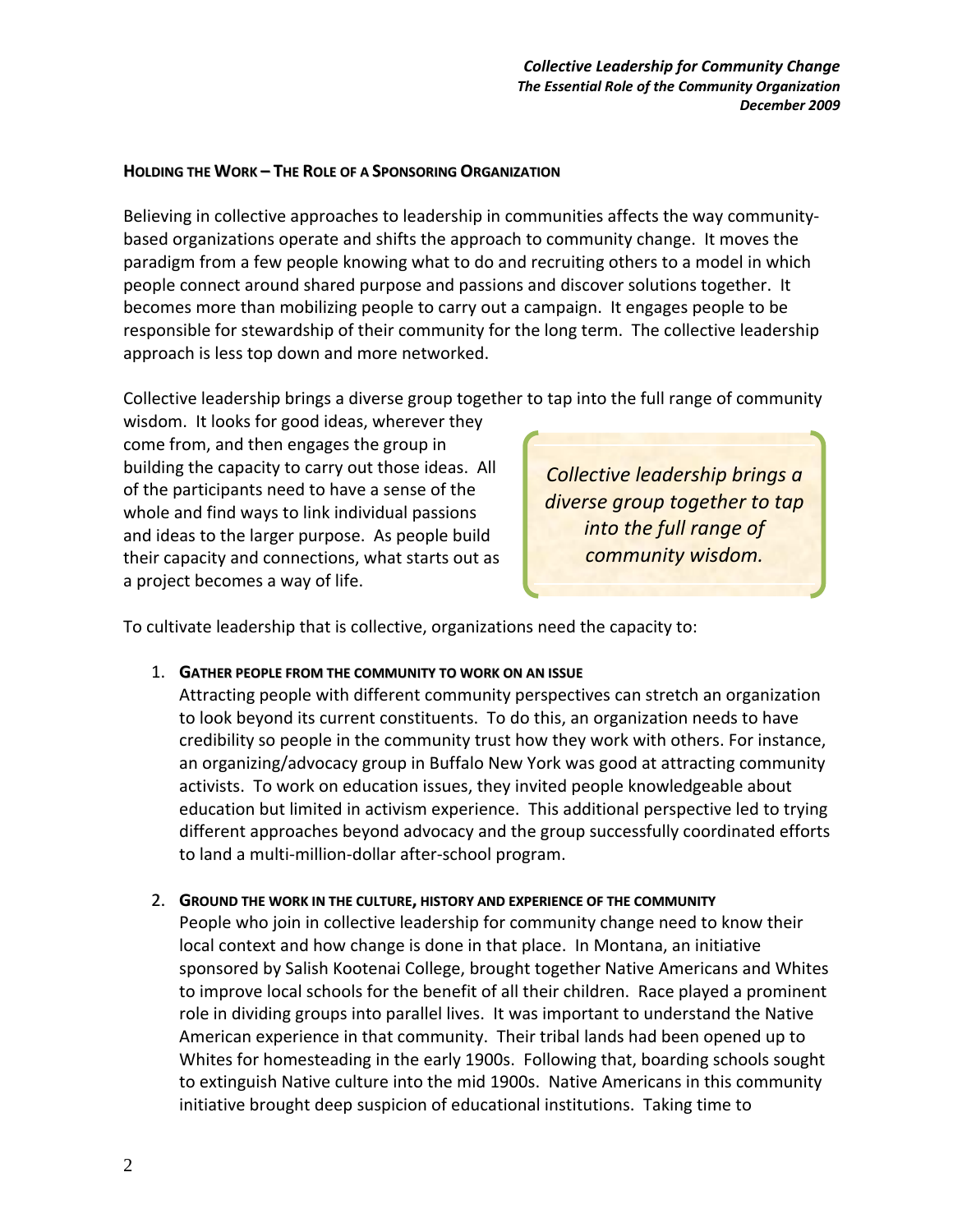### **HOLDING THE WORK – THE ROLE OF A SPONSORING ORGANIZATION**

Believing in collective approaches to leadership in communities affects the way communitybased organizations operate and shifts the approach to community change. It moves the paradigm from a few people knowing what to do and recruiting others to a model in which people connect around shared purpose and passions and discover solutions together. It becomes more than mobilizing people to carry out a campaign. It engages people to be responsible for stewardship of their community for the long term. The collective leadership approach is less top down and more networked.

Collective leadership brings a diverse group together to tap into the full range of community

wisdom. It looks for good ideas, wherever they come from, and then engages the group in building the capacity to carry out those ideas. All of the participants need to have a sense of the whole and find ways to link individual passions and ideas to the larger purpose. As people build their capacity and connections, what starts out as a project becomes a way of life.

*Collective leadership brings a diverse group together to tap into the full range of community wisdom.* 

To cultivate leadership that is collective, organizations need the capacity to:

### 1. **GATHER PEOPLE FROM THE COMMUNITY TO WORK ON AN ISSUE**

Attracting people with different community perspectives can stretch an organization to look beyond its current constituents. To do this, an organization needs to have credibility so people in the community trust how they work with others. For instance, an organizing/advocacy group in Buffalo New York was good at attracting community activists. To work on education issues, they invited people knowledgeable about education but limited in activism experience. This additional perspective led to trying different approaches beyond advocacy and the group successfully coordinated efforts to land a multi-million-dollar after-school program.

### 2. **GROUND THE WORK IN THE CULTURE, HISTORY AND EXPERIENCE OF THE COMMUNITY**

People who join in collective leadership for community change need to know their local context and how change is done in that place. In Montana, an initiative sponsored by Salish Kootenai College, brought together Native Americans and Whites to improve local schools for the benefit of all their children. Race played a prominent role in dividing groups into parallel lives. It was important to understand the Native American experience in that community. Their tribal lands had been opened up to Whites for homesteading in the early 1900s. Following that, boarding schools sought to extinguish Native culture into the mid 1900s. Native Americans in this community initiative brought deep suspicion of educational institutions. Taking time to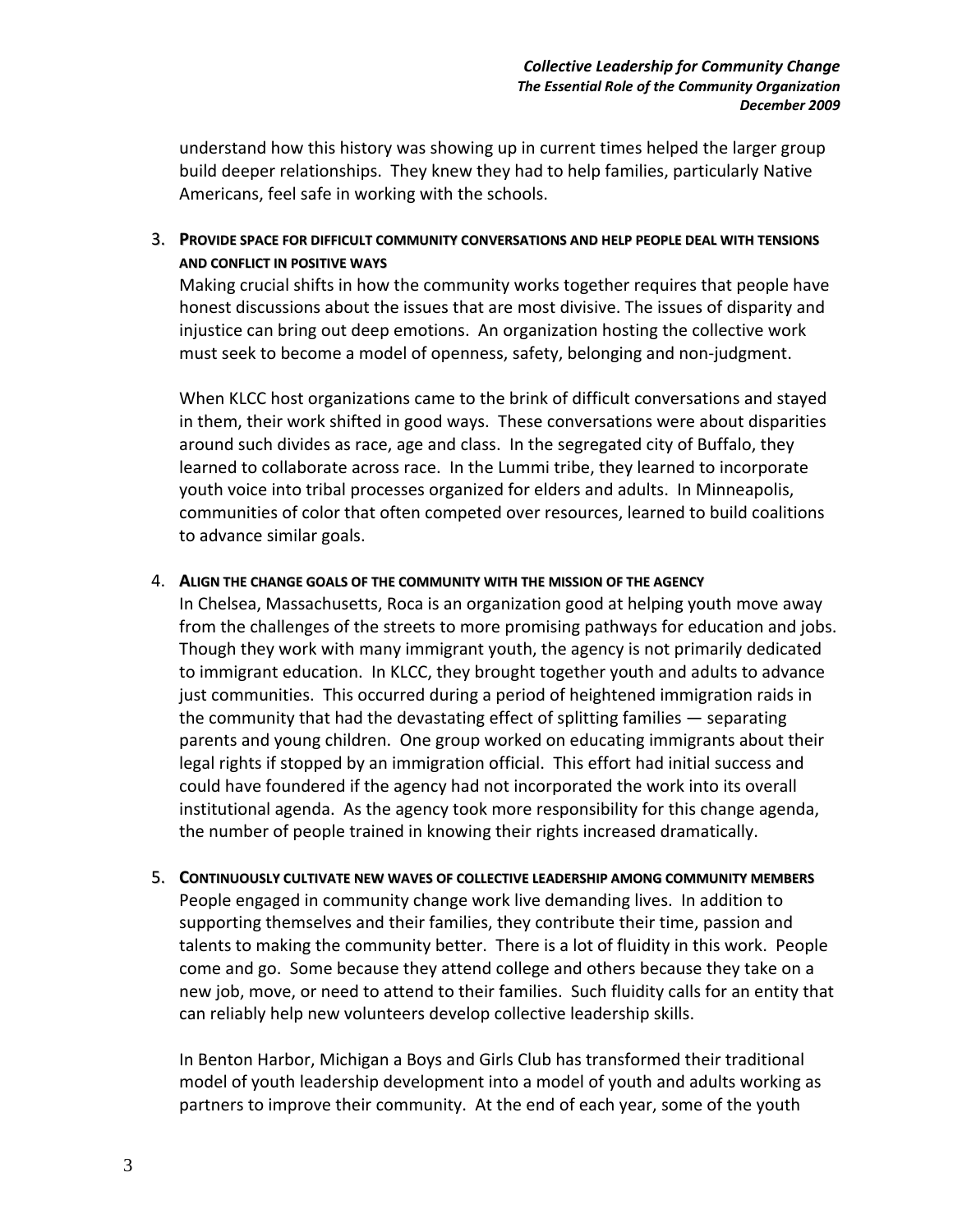understand how this history was showing up in current times helped the larger group build deeper relationships. They knew they had to help families, particularly Native Americans, feel safe in working with the schools.

3. **PROVIDE SPACE FOR DIFFICULT COMMUNITY CONVERSATIONS AND HELP PEOPLE DEAL WITH TENSIONS AND CONFLICT IN POSITIVE WAYS**

Making crucial shifts in how the community works together requires that people have honest discussions about the issues that are most divisive. The issues of disparity and injustice can bring out deep emotions. An organization hosting the collective work must seek to become a model of openness, safety, belonging and non-judgment.

When KLCC host organizations came to the brink of difficult conversations and stayed in them, their work shifted in good ways. These conversations were about disparities around such divides as race, age and class. In the segregated city of Buffalo, they learned to collaborate across race. In the Lummi tribe, they learned to incorporate youth voice into tribal processes organized for elders and adults. In Minneapolis, communities of color that often competed over resources, learned to build coalitions to advance similar goals.

### 4. **ALIGN THE CHANGE GOALS OF THE COMMUNITY WITH THE MISSION OF THE AGENCY**

In Chelsea, Massachusetts, Roca is an organization good at helping youth move away from the challenges of the streets to more promising pathways for education and jobs. Though they work with many immigrant youth, the agency is not primarily dedicated to immigrant education. In KLCC, they brought together youth and adults to advance just communities. This occurred during a period of heightened immigration raids in the community that had the devastating effect of splitting families — separating parents and young children. One group worked on educating immigrants about their legal rights if stopped by an immigration official. This effort had initial success and could have foundered if the agency had not incorporated the work into its overall institutional agenda. As the agency took more responsibility for this change agenda, the number of people trained in knowing their rights increased dramatically.

5. **CONTINUOUSLY CULTIVATE NEW WAVES OF COLLECTIVE LEADERSHIP AMONG COMMUNITY MEMBERS** People engaged in community change work live demanding lives. In addition to supporting themselves and their families, they contribute their time, passion and talents to making the community better. There is a lot of fluidity in this work. People come and go. Some because they attend college and others because they take on a new job, move, or need to attend to their families. Such fluidity calls for an entity that can reliably help new volunteers develop collective leadership skills.

In Benton Harbor, Michigan a Boys and Girls Club has transformed their traditional model of youth leadership development into a model of youth and adults working as partners to improve their community. At the end of each year, some of the youth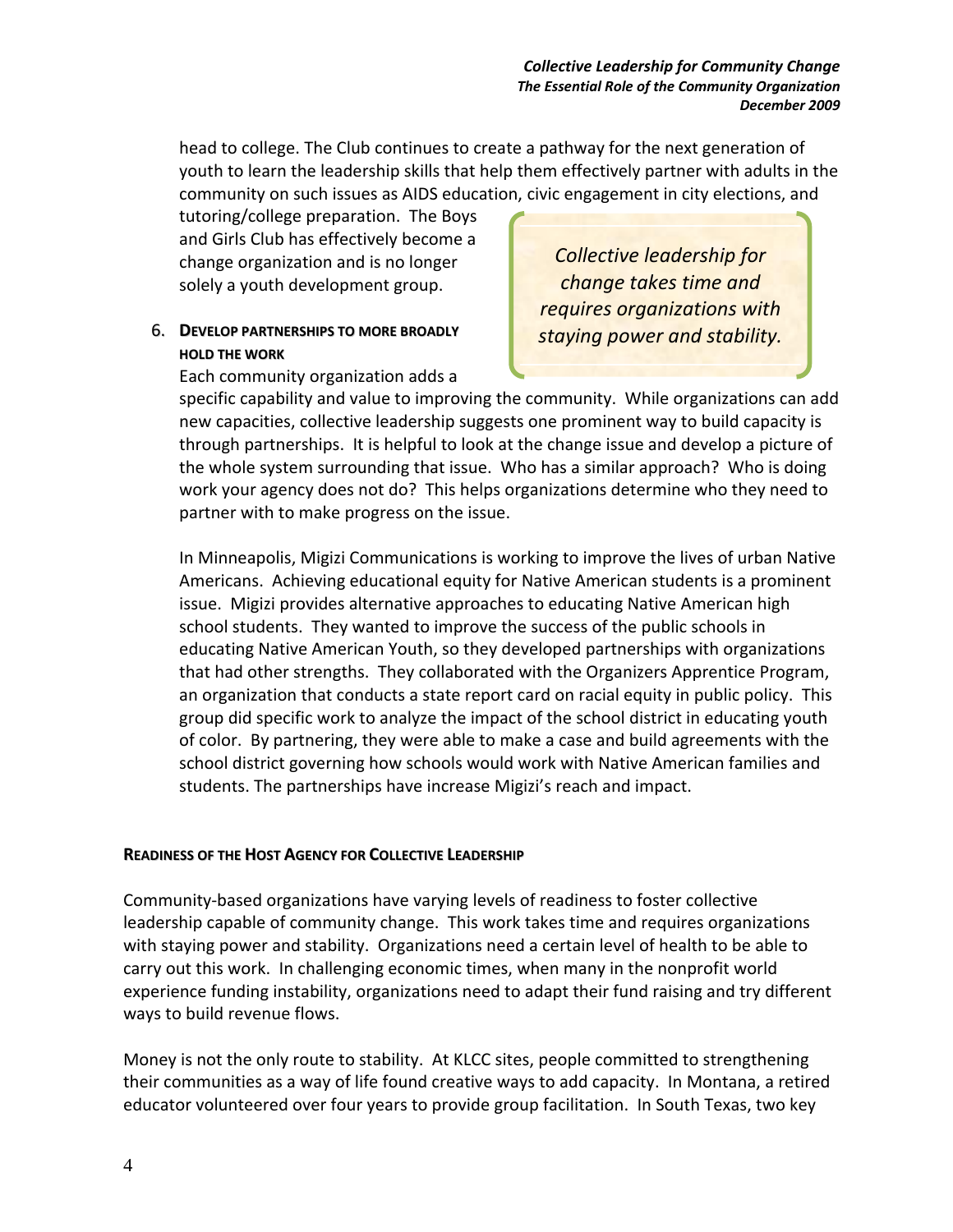head to college. The Club continues to create a pathway for the next generation of youth to learn the leadership skills that help them effectively partner with adults in the community on such issues as AIDS education, civic engagement in city elections, and

tutoring/college preparation. The Boys and Girls Club has effectively become a change organization and is no longer solely a youth development group.

# 6. **DEVELOP PARTNERSHIPS TO MORE BROADLY HOLD THE WORK**

*Collective leadership for change takes time and requires organizations with staying power and stability.* 

Each community organization adds a

specific capability and value to improving the community. While organizations can add new capacities, collective leadership suggests one prominent way to build capacity is through partnerships. It is helpful to look at the change issue and develop a picture of the whole system surrounding that issue. Who has a similar approach? Who is doing work your agency does not do? This helps organizations determine who they need to partner with to make progress on the issue.

In Minneapolis, Migizi Communications is working to improve the lives of urban Native Americans. Achieving educational equity for Native American students is a prominent issue. Migizi provides alternative approaches to educating Native American high school students. They wanted to improve the success of the public schools in educating Native American Youth, so they developed partnerships with organizations that had other strengths. They collaborated with the Organizers Apprentice Program, an organization that conducts a state report card on racial equity in public policy. This group did specific work to analyze the impact of the school district in educating youth of color. By partnering, they were able to make a case and build agreements with the school district governing how schools would work with Native American families and students. The partnerships have increase Migizi's reach and impact.

# **READINESS OF THE HOST AGENCY FOR COLLECTIVE LEADERSHIP**

Community-based organizations have varying levels of readiness to foster collective leadership capable of community change. This work takes time and requires organizations with staying power and stability. Organizations need a certain level of health to be able to carry out this work. In challenging economic times, when many in the nonprofit world experience funding instability, organizations need to adapt their fund raising and try different ways to build revenue flows.

Money is not the only route to stability. At KLCC sites, people committed to strengthening their communities as a way of life found creative ways to add capacity. In Montana, a retired educator volunteered over four years to provide group facilitation. In South Texas, two key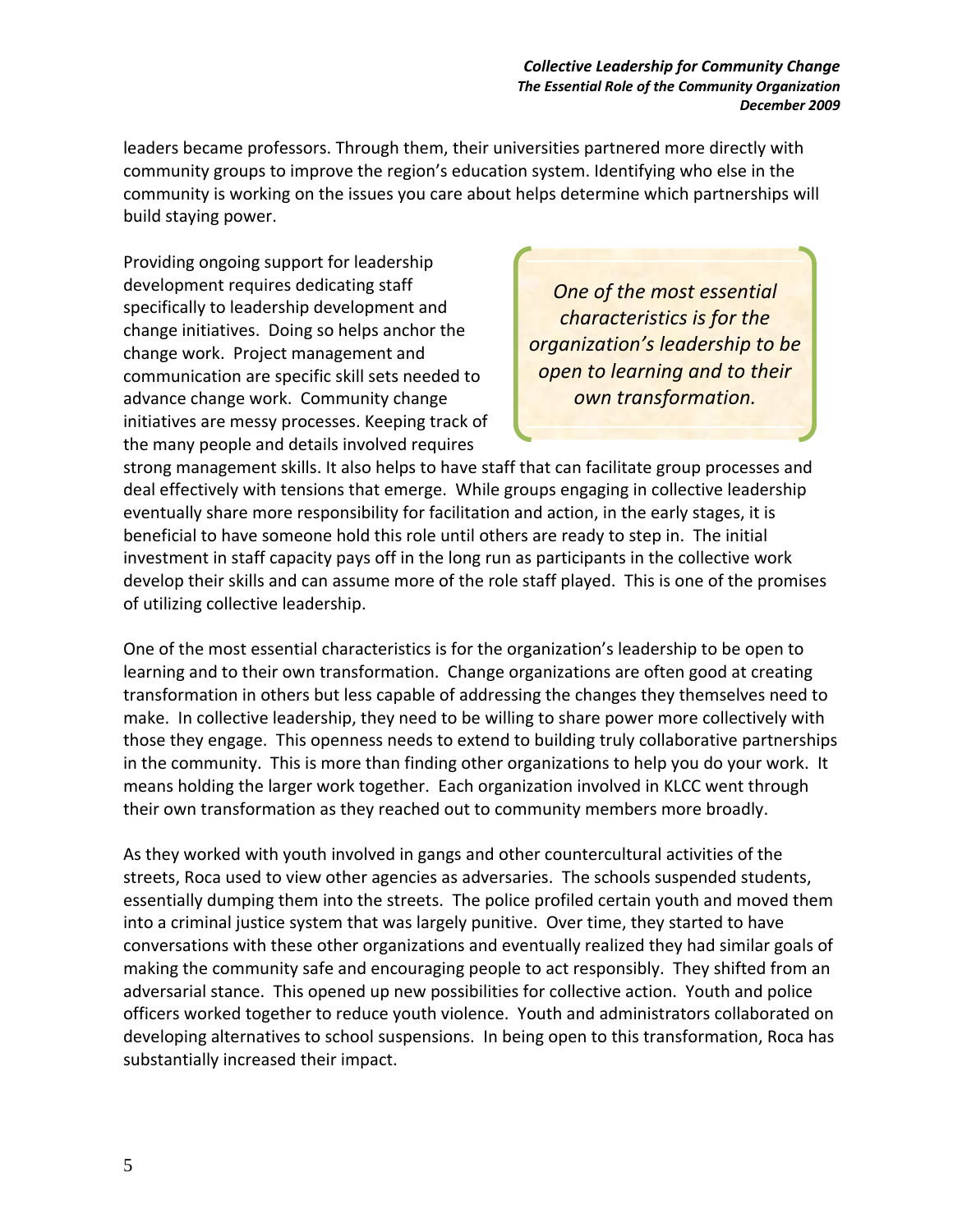*Collective Leadership for Community Change The Essential Role of the Community Organization December 2009* 

leaders became professors. Through them, their universities partnered more directly with community groups to improve the region's education system. Identifying who else in the community is working on the issues you care about helps determine which partnerships will build staying power.

Providing ongoing support for leadership development requires dedicating staff specifically to leadership development and change initiatives. Doing so helps anchor the change work. Project management and communication are specific skill sets needed to advance change work. Community change initiatives are messy processes. Keeping track of the many people and details involved requires

*One of the most essential characteristics is for the organization's leadership to be open to learning and to their own transformation.* 

strong management skills. It also helps to have staff that can facilitate group processes and deal effectively with tensions that emerge. While groups engaging in collective leadership eventually share more responsibility for facilitation and action, in the early stages, it is beneficial to have someone hold this role until others are ready to step in. The initial investment in staff capacity pays off in the long run as participants in the collective work develop their skills and can assume more of the role staff played. This is one of the promises of utilizing collective leadership.

One of the most essential characteristics is for the organization's leadership to be open to learning and to their own transformation. Change organizations are often good at creating transformation in others but less capable of addressing the changes they themselves need to make. In collective leadership, they need to be willing to share power more collectively with those they engage. This openness needs to extend to building truly collaborative partnerships in the community. This is more than finding other organizations to help you do your work. It means holding the larger work together. Each organization involved in KLCC went through their own transformation as they reached out to community members more broadly.

As they worked with youth involved in gangs and other countercultural activities of the streets, Roca used to view other agencies as adversaries. The schools suspended students, essentially dumping them into the streets. The police profiled certain youth and moved them into a criminal justice system that was largely punitive. Over time, they started to have conversations with these other organizations and eventually realized they had similar goals of making the community safe and encouraging people to act responsibly. They shifted from an adversarial stance. This opened up new possibilities for collective action. Youth and police officers worked together to reduce youth violence. Youth and administrators collaborated on developing alternatives to school suspensions. In being open to this transformation, Roca has substantially increased their impact.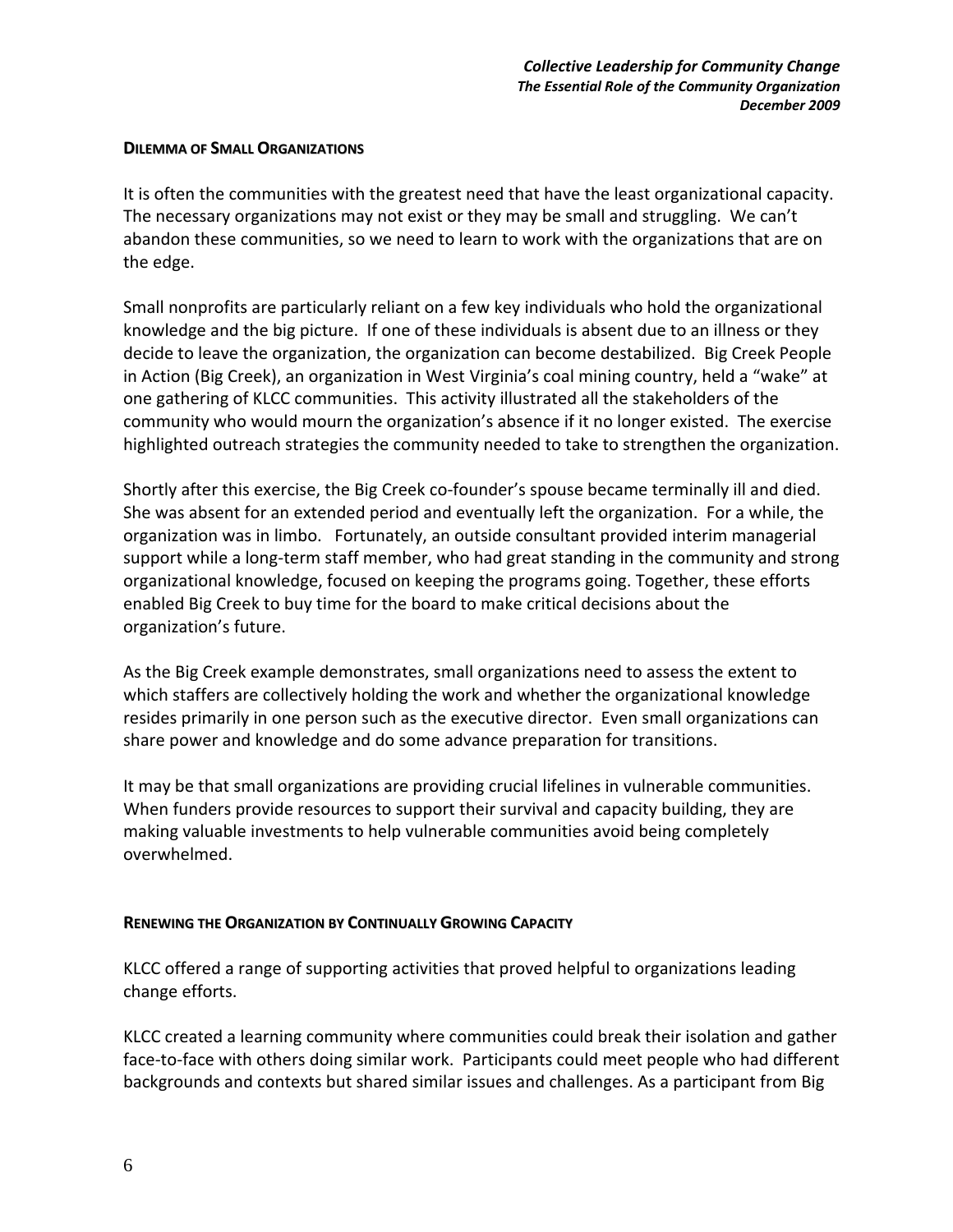### **DILEMMA OF SMALL ORGANIZATIONS**

It is often the communities with the greatest need that have the least organizational capacity. The necessary organizations may not exist or they may be small and struggling. We can't abandon these communities, so we need to learn to work with the organizations that are on the edge.

Small nonprofits are particularly reliant on a few key individuals who hold the organizational knowledge and the big picture. If one of these individuals is absent due to an illness or they decide to leave the organization, the organization can become destabilized. Big Creek People in Action (Big Creek), an organization in West Virginia's coal mining country, held a "wake" at one gathering of KLCC communities. This activity illustrated all the stakeholders of the community who would mourn the organization's absence if it no longer existed. The exercise highlighted outreach strategies the community needed to take to strengthen the organization.

Shortly after this exercise, the Big Creek co-founder's spouse became terminally ill and died. She was absent for an extended period and eventually left the organization. For a while, the organization was in limbo. Fortunately, an outside consultant provided interim managerial support while a long-term staff member, who had great standing in the community and strong organizational knowledge, focused on keeping the programs going. Together, these efforts enabled Big Creek to buy time for the board to make critical decisions about the organization's future.

As the Big Creek example demonstrates, small organizations need to assess the extent to which staffers are collectively holding the work and whether the organizational knowledge resides primarily in one person such as the executive director. Even small organizations can share power and knowledge and do some advance preparation for transitions.

It may be that small organizations are providing crucial lifelines in vulnerable communities. When funders provide resources to support their survival and capacity building, they are making valuable investments to help vulnerable communities avoid being completely overwhelmed.

### **RENEWING THE ORGANIZATION BY CONTINUALLY GROWING CAPACITY**

KLCC offered a range of supporting activities that proved helpful to organizations leading change efforts.

KLCC created a learning community where communities could break their isolation and gather face-to-face with others doing similar work.Participants could meet people who had different backgrounds and contexts but shared similar issues and challenges. As a participant from Big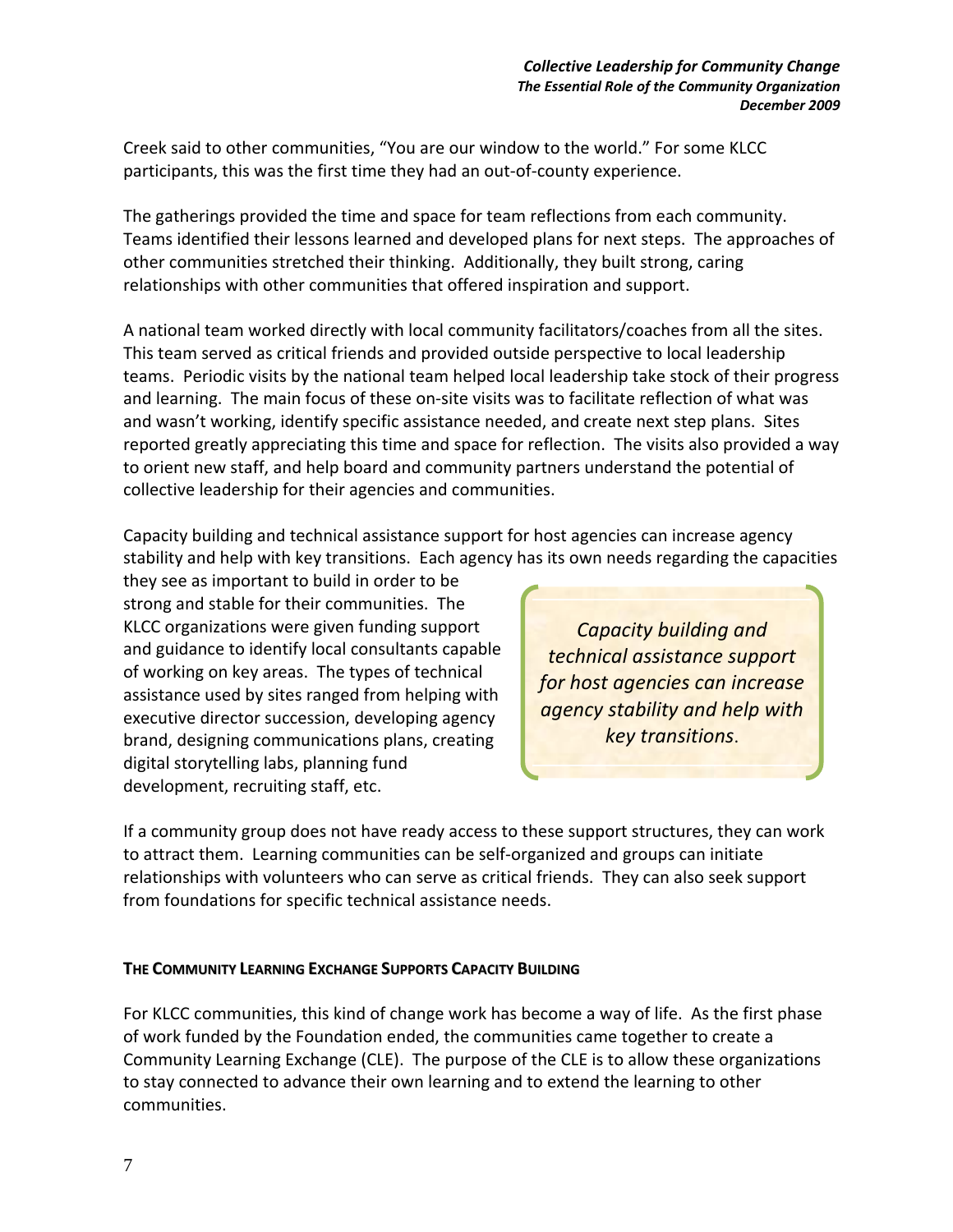Creek said to other communities, "You are our window to the world." For some KLCC participants, this was the first time they had an out-of-county experience.

The gatherings provided the time and space for team reflections from each community. Teams identified their lessons learned and developed plans for next steps. The approaches of other communities stretched their thinking. Additionally, they built strong, caring relationships with other communities that offered inspiration and support.

A national team worked directly with local community facilitators/coaches from all the sites. This team served as critical friends and provided outside perspective to local leadership teams. Periodic visits by the national team helped local leadership take stock of their progress and learning. The main focus of these on-site visits was to facilitate reflection of what was and wasn't working, identify specific assistance needed, and create next step plans. Sites reported greatly appreciating this time and space for reflection. The visits also provided a way to orient new staff, and help board and community partners understand the potential of collective leadership for their agencies and communities.

Capacity building and technical assistance support for host agencies can increase agency stability and help with key transitions. Each agency has its own needs regarding the capacities

they see as important to build in order to be strong and stable for their communities. The KLCC organizations were given funding support and guidance to identify local consultants capable of working on key areas. The types of technical assistance used by sites ranged from helping with executive director succession, developing agency brand, designing communications plans, creating digital storytelling labs, planning fund development, recruiting staff, etc.

*Capacity building and technical assistance support for host agencies can increase agency stability and help with key transitions*.

If a community group does not have ready access to these support structures, they can work to attract them. Learning communities can be self-organized and groups can initiate relationships with volunteers who can serve as critical friends. They can also seek support from foundations for specific technical assistance needs.

### **THE COMMUNITY LEARNING EXCHANGE SUPPORTS CAPACITY BUILDING**

For KLCC communities, this kind of change work has become a way of life. As the first phase of work funded by the Foundation ended, the communities came together to create a Community Learning Exchange (CLE). The purpose of the CLE is to allow these organizations to stay connected to advance their own learning and to extend the learning to other communities.